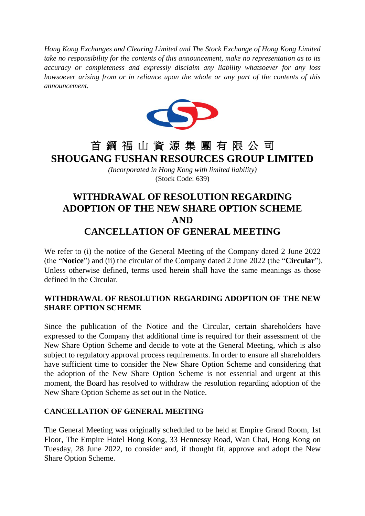*Hong Kong Exchanges and Clearing Limited and The Stock Exchange of Hong Kong Limited take no responsibility for the contents of this announcement, make no representation as to its accuracy or completeness and expressly disclaim any liability whatsoever for any loss howsoever arising from or in reliance upon the whole or any part of the contents of this announcement.*



## 首 鋼 福 山 資 源 集 團 有 限 公 司 **SHOUGANG FUSHAN RESOURCES GROUP LIMITED**

*(Incorporated in Hong Kong with limited liability)* (Stock Code: 639)

## **WITHDRAWAL OF RESOLUTION REGARDING ADOPTION OF THE NEW SHARE OPTION SCHEME AND CANCELLATION OF GENERAL MEETING**

We refer to (i) the notice of the General Meeting of the Company dated 2 June 2022 (the "**Notice**") and (ii) the circular of the Company dated 2 June 2022 (the "**Circular**"). Unless otherwise defined, terms used herein shall have the same meanings as those defined in the Circular.

## **WITHDRAWAL OF RESOLUTION REGARDING ADOPTION OF THE NEW SHARE OPTION SCHEME**

Since the publication of the Notice and the Circular, certain shareholders have expressed to the Company that additional time is required for their assessment of the New Share Option Scheme and decide to vote at the General Meeting, which is also subject to regulatory approval process requirements. In order to ensure all shareholders have sufficient time to consider the New Share Option Scheme and considering that the adoption of the New Share Option Scheme is not essential and urgent at this moment, the Board has resolved to withdraw the resolution regarding adoption of the New Share Option Scheme as set out in the Notice.

## **CANCELLATION OF GENERAL MEETING**

The General Meeting was originally scheduled to be held at Empire Grand Room, 1st Floor, The Empire Hotel Hong Kong, 33 Hennessy Road, Wan Chai, Hong Kong on Tuesday, 28 June 2022, to consider and, if thought fit, approve and adopt the New Share Option Scheme.